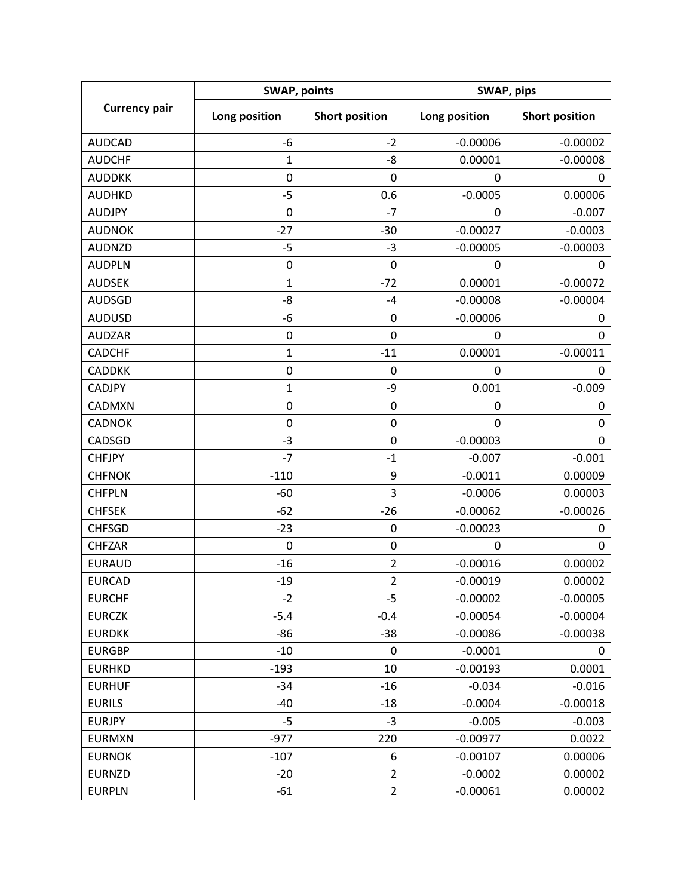| <b>Currency pair</b> | <b>SWAP, points</b> |                       | SWAP, pips    |                       |
|----------------------|---------------------|-----------------------|---------------|-----------------------|
|                      | Long position       | <b>Short position</b> | Long position | <b>Short position</b> |
| <b>AUDCAD</b>        | $-6$                | $-2$                  | $-0.00006$    | $-0.00002$            |
| <b>AUDCHF</b>        | 1                   | -8                    | 0.00001       | $-0.00008$            |
| <b>AUDDKK</b>        | 0                   | 0                     | 0             | 0                     |
| <b>AUDHKD</b>        | $-5$                | 0.6                   | $-0.0005$     | 0.00006               |
| <b>AUDJPY</b>        | 0                   | $-7$                  | 0             | $-0.007$              |
| <b>AUDNOK</b>        | $-27$               | $-30$                 | $-0.00027$    | $-0.0003$             |
| <b>AUDNZD</b>        | $-5$                | $-3$                  | $-0.00005$    | $-0.00003$            |
| <b>AUDPLN</b>        | $\mathbf 0$         | 0                     | 0             | 0                     |
| <b>AUDSEK</b>        | 1                   | $-72$                 | 0.00001       | $-0.00072$            |
| <b>AUDSGD</b>        | -8                  | -4                    | $-0.00008$    | $-0.00004$            |
| <b>AUDUSD</b>        | -6                  | 0                     | $-0.00006$    | 0                     |
| <b>AUDZAR</b>        | 0                   | 0                     | 0             | 0                     |
| <b>CADCHF</b>        | $\mathbf 1$         | $-11$                 | 0.00001       | $-0.00011$            |
| <b>CADDKK</b>        | 0                   | 0                     | 0             | 0                     |
| <b>CADJPY</b>        | 1                   | -9                    | 0.001         | $-0.009$              |
| CADMXN               | $\pmb{0}$           | 0                     | 0             | 0                     |
| <b>CADNOK</b>        | $\mathbf 0$         | 0                     | 0             | $\mathbf 0$           |
| CADSGD               | $-3$                | 0                     | $-0.00003$    | 0                     |
| <b>CHFJPY</b>        | $-7$                | $-1$                  | $-0.007$      | $-0.001$              |
| <b>CHFNOK</b>        | $-110$              | 9                     | $-0.0011$     | 0.00009               |
| <b>CHFPLN</b>        | $-60$               | 3                     | $-0.0006$     | 0.00003               |
| <b>CHFSEK</b>        | $-62$               | $-26$                 | $-0.00062$    | $-0.00026$            |
| <b>CHFSGD</b>        | $-23$               | 0                     | $-0.00023$    | 0                     |
| <b>CHFZAR</b>        | $\pmb{0}$           | 0                     | 0             | 0                     |
| <b>EURAUD</b>        | $-16$               | $\overline{2}$        | $-0.00016$    | 0.00002               |
| <b>EURCAD</b>        | $-19$               | $\overline{2}$        | $-0.00019$    | 0.00002               |
| <b>EURCHF</b>        | $-2$                | $-5$                  | $-0.00002$    | $-0.00005$            |
| <b>EURCZK</b>        | $-5.4$              | $-0.4$                | $-0.00054$    | $-0.00004$            |
| <b>EURDKK</b>        | -86                 | $-38$                 | $-0.00086$    | $-0.00038$            |
| <b>EURGBP</b>        | $-10$               | 0                     | $-0.0001$     | 0                     |
| <b>EURHKD</b>        | $-193$              | 10                    | $-0.00193$    | 0.0001                |
| <b>EURHUF</b>        | $-34$               | $-16$                 | $-0.034$      | $-0.016$              |
| <b>EURILS</b>        | $-40$               | $-18$                 | $-0.0004$     | $-0.00018$            |
| <b>EURJPY</b>        | $-5$                | $-3$                  | $-0.005$      | $-0.003$              |
| <b>EURMXN</b>        | $-977$              | 220                   | $-0.00977$    | 0.0022                |
| <b>EURNOK</b>        | $-107$              | 6                     | $-0.00107$    | 0.00006               |
| <b>EURNZD</b>        | $-20$               | $\overline{2}$        | $-0.0002$     | 0.00002               |
| <b>EURPLN</b>        | $-61$               | $\overline{2}$        | $-0.00061$    | 0.00002               |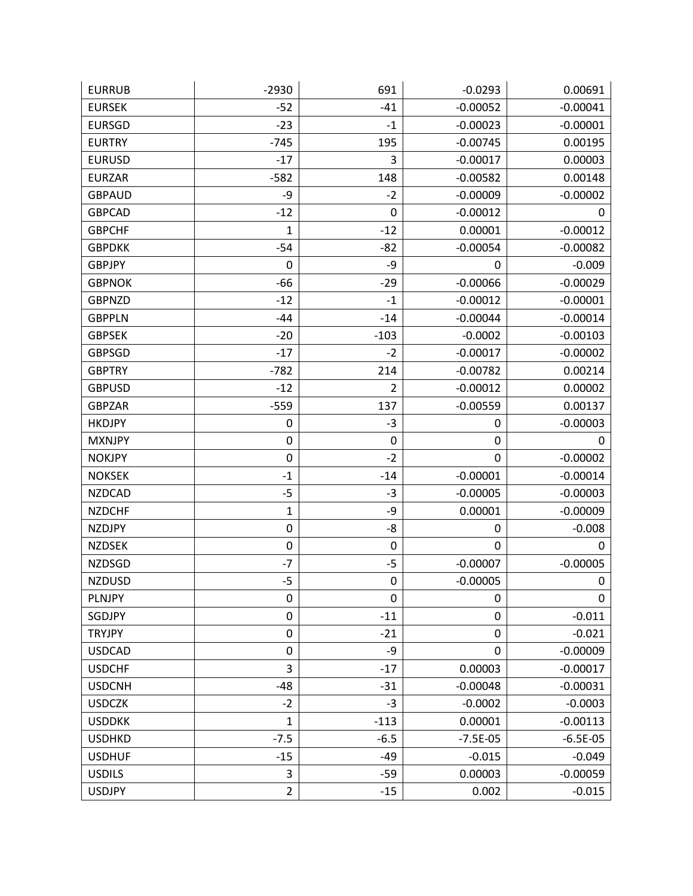| <b>EURRUB</b> | $-2930$        | 691    | $-0.0293$  | 0.00691    |
|---------------|----------------|--------|------------|------------|
| <b>EURSEK</b> | $-52$          | $-41$  | $-0.00052$ | $-0.00041$ |
| <b>EURSGD</b> | $-23$          | $-1$   | $-0.00023$ | $-0.00001$ |
| <b>EURTRY</b> | $-745$         | 195    | $-0.00745$ | 0.00195    |
| <b>EURUSD</b> | $-17$          | 3      | $-0.00017$ | 0.00003    |
| <b>EURZAR</b> | $-582$         | 148    | $-0.00582$ | 0.00148    |
| <b>GBPAUD</b> | -9             | $-2$   | $-0.00009$ | $-0.00002$ |
| <b>GBPCAD</b> | $-12$          | 0      | $-0.00012$ | 0          |
| <b>GBPCHF</b> | $\mathbf 1$    | $-12$  | 0.00001    | $-0.00012$ |
| <b>GBPDKK</b> | $-54$          | $-82$  | $-0.00054$ | $-0.00082$ |
| <b>GBPJPY</b> | 0              | -9     | 0          | $-0.009$   |
| <b>GBPNOK</b> | $-66$          | $-29$  | $-0.00066$ | $-0.00029$ |
| <b>GBPNZD</b> | $-12$          | $-1$   | $-0.00012$ | $-0.00001$ |
| <b>GBPPLN</b> | $-44$          | $-14$  | $-0.00044$ | $-0.00014$ |
| <b>GBPSEK</b> | $-20$          | $-103$ | $-0.0002$  | $-0.00103$ |
| <b>GBPSGD</b> | $-17$          | $-2$   | $-0.00017$ | $-0.00002$ |
| <b>GBPTRY</b> | $-782$         | 214    | $-0.00782$ | 0.00214    |
| <b>GBPUSD</b> | $-12$          | 2      | $-0.00012$ | 0.00002    |
| <b>GBPZAR</b> | $-559$         | 137    | $-0.00559$ | 0.00137    |
| <b>HKDJPY</b> | 0              | $-3$   | 0          | $-0.00003$ |
| <b>MXNJPY</b> | $\pmb{0}$      | 0      | 0          | 0          |
| <b>NOKJPY</b> | $\mathbf 0$    | $-2$   | 0          | $-0.00002$ |
| <b>NOKSEK</b> | $-1$           | $-14$  | $-0.00001$ | $-0.00014$ |
| <b>NZDCAD</b> | $-5$           | $-3$   | $-0.00005$ | $-0.00003$ |
| <b>NZDCHF</b> | 1              | -9     | 0.00001    | $-0.00009$ |
| <b>NZDJPY</b> | $\pmb{0}$      | -8     | 0          | $-0.008$   |
| <b>NZDSEK</b> | $\mathbf 0$    | 0      | 0          | 0          |
| <b>NZDSGD</b> | $-7$           | $-5$   | $-0.00007$ | $-0.00005$ |
| <b>NZDUSD</b> | $-5$           | 0      | $-0.00005$ | 0          |
| PLNJPY        | $\pmb{0}$      | 0      | 0          | 0          |
| SGDJPY        | $\mathbf 0$    | $-11$  | 0          | $-0.011$   |
| <b>TRYJPY</b> | $\pmb{0}$      | $-21$  | 0          | $-0.021$   |
| <b>USDCAD</b> | $\mathbf 0$    | -9     | 0          | $-0.00009$ |
| <b>USDCHF</b> | 3              | $-17$  | 0.00003    | $-0.00017$ |
| <b>USDCNH</b> | $-48$          | $-31$  | $-0.00048$ | $-0.00031$ |
| <b>USDCZK</b> | $-2$           | $-3$   | $-0.0002$  | $-0.0003$  |
| <b>USDDKK</b> | 1              | $-113$ | 0.00001    | $-0.00113$ |
| <b>USDHKD</b> | $-7.5$         | $-6.5$ | $-7.5E-05$ | $-6.5E-05$ |
| <b>USDHUF</b> | $-15$          | $-49$  | $-0.015$   | $-0.049$   |
| <b>USDILS</b> | 3              | $-59$  | 0.00003    | $-0.00059$ |
| <b>USDJPY</b> | $\overline{2}$ | $-15$  | 0.002      | $-0.015$   |